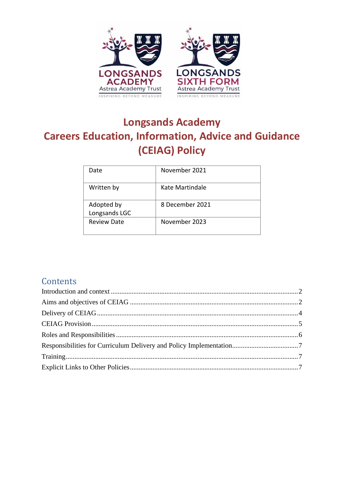

# **Longsands Academy Careers Education, Information, Advice and Guidance (CEIAG) Policy**

| Date                        | November 2021   |
|-----------------------------|-----------------|
| Written by                  | Kate Martindale |
| Adopted by<br>Longsands LGC | 8 December 2021 |
| <b>Review Date</b>          | November 2023   |

# **Contents**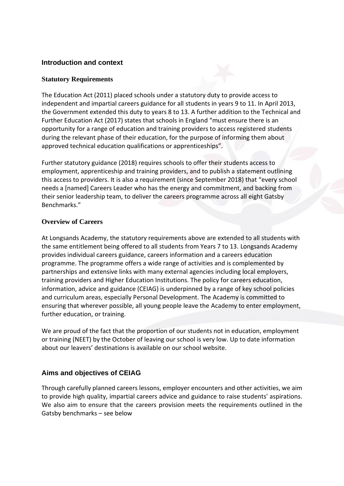#### <span id="page-1-0"></span>**Introduction and context**

#### **Statutory Requirements**

The Education Act (2011) placed schools under a statutory duty to provide access to independent and impartial careers guidance for all students in years 9 to 11. In April 2013, the Government extended this duty to years 8 to 13. A further addition to the Technical and Further Education Act (2017) states that schools in England "must ensure there is an opportunity for a range of education and training providers to access registered students during the relevant phase of their education, for the purpose of informing them about approved technical education qualifications or apprenticeships".

Further statutory guidance (2018) requires schools to offer their students access to employment, apprenticeship and training providers, and to publish a statement outlining this access to providers. It is also a requirement (since September 2018) that "every school needs a [named] Careers Leader who has the energy and commitment, and backing from their senior leadership team, to deliver the careers programme across all eight Gatsby Benchmarks."

#### **Overview of Careers**

At Longsands Academy, the statutory requirements above are extended to all students with the same entitlement being offered to all students from Years 7 to 13. Longsands Academy provides individual careers guidance, careers information and a careers education programme. The programme offers a wide range of activities and is complemented by partnerships and extensive links with many external agencies including local employers, training providers and Higher Education Institutions. The policy for careers education, information, advice and guidance (CEIAG) is underpinned by a range of key school policies and curriculum areas, especially Personal Development. The Academy is committed to ensuring that wherever possible, all young people leave the Academy to enter employment, further education, or training.

We are proud of the fact that the proportion of our students not in education, employment or training (NEET) by the October of leaving our school is very low. Up to date information about our leavers' destinations is available on our school website.

# <span id="page-1-1"></span>**Aims and objectives of CEIAG**

Through carefully planned careers lessons, employer encounters and other activities, we aim to provide high quality, impartial careers advice and guidance to raise students' aspirations. We also aim to ensure that the careers provision meets the requirements outlined in the Gatsby benchmarks – see below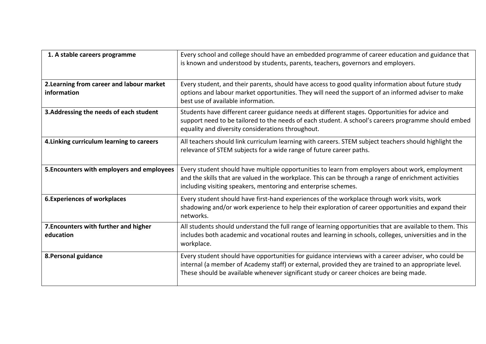| 1. A stable careers programme                            | Every school and college should have an embedded programme of career education and guidance that<br>is known and understood by students, parents, teachers, governors and employers.                                                                                                                  |
|----------------------------------------------------------|-------------------------------------------------------------------------------------------------------------------------------------------------------------------------------------------------------------------------------------------------------------------------------------------------------|
| 2. Learning from career and labour market<br>information | Every student, and their parents, should have access to good quality information about future study<br>options and labour market opportunities. They will need the support of an informed adviser to make<br>best use of available information.                                                       |
| 3. Addressing the needs of each student                  | Students have different career guidance needs at different stages. Opportunities for advice and<br>support need to be tailored to the needs of each student. A school's careers programme should embed<br>equality and diversity considerations throughout.                                           |
| 4. Linking curriculum learning to careers                | All teachers should link curriculum learning with careers. STEM subject teachers should highlight the<br>relevance of STEM subjects for a wide range of future career paths.                                                                                                                          |
| 5. Encounters with employers and employees               | Every student should have multiple opportunities to learn from employers about work, employment<br>and the skills that are valued in the workplace. This can be through a range of enrichment activities<br>including visiting speakers, mentoring and enterprise schemes.                            |
| <b>6. Experiences of workplaces</b>                      | Every student should have first-hand experiences of the workplace through work visits, work<br>shadowing and/or work experience to help their exploration of career opportunities and expand their<br>networks.                                                                                       |
| 7. Encounters with further and higher<br>education       | All students should understand the full range of learning opportunities that are available to them. This<br>includes both academic and vocational routes and learning in schools, colleges, universities and in the<br>workplace.                                                                     |
| 8. Personal guidance                                     | Every student should have opportunities for guidance interviews with a career adviser, who could be<br>internal (a member of Academy staff) or external, provided they are trained to an appropriate level.<br>These should be available whenever significant study or career choices are being made. |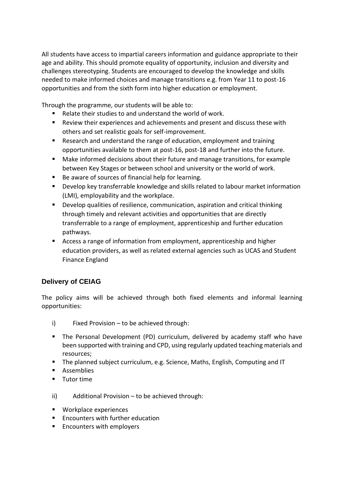All students have access to impartial careers information and guidance appropriate to their age and ability. This should promote equality of opportunity, inclusion and diversity and challenges stereotyping. Students are encouraged to develop the knowledge and skills needed to make informed choices and manage transitions e.g. from Year 11 to post-16 opportunities and from the sixth form into higher education or employment.

Through the programme, our students will be able to:

- Relate their studies to and understand the world of work.
- Review their experiences and achievements and present and discuss these with others and set realistic goals for self-improvement.
- Research and understand the range of education, employment and training opportunities available to them at post-16, post-18 and further into the future.
- Make informed decisions about their future and manage transitions, for example between Key Stages or between school and university or the world of work.
- Be aware of sources of financial help for learning.
- Develop key transferrable knowledge and skills related to labour market information (LMI), employability and the workplace.
- Develop qualities of resilience, communication, aspiration and critical thinking through timely and relevant activities and opportunities that are directly transferrable to a range of employment, apprenticeship and further education pathways.
- Access a range of information from employment, apprenticeship and higher education providers, as well as related external agencies such as UCAS and Student Finance England

# <span id="page-3-0"></span>**Delivery of CEIAG**

The policy aims will be achieved through both fixed elements and informal learning opportunities:

- i) Fixed Provision to be achieved through:
- The Personal Development (PD) curriculum, delivered by academy staff who have been supported with training and CPD, using regularly updated teaching materials and resources;
- The planned subject curriculum, e.g. Science, Maths, English, Computing and IT
- Assemblies
- Tutor time
- ii) Additional Provision to be achieved through:
- Workplace experiences
- Encounters with further education
- Encounters with employers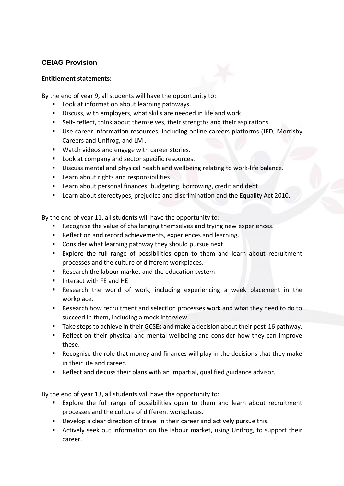# <span id="page-4-0"></span>**CEIAG Provision**

#### **Entitlement statements:**

By the end of year 9, all students will have the opportunity to:

- Look at information about learning pathways.
- Discuss, with employers, what skills are needed in life and work.
- Self- reflect, think about themselves, their strengths and their aspirations.
- Use career information resources, including online careers platforms (JED, Morrisby Careers and Unifrog, and LMI.
- Watch videos and engage with career stories.
- Look at company and sector specific resources.
- Discuss mental and physical health and wellbeing relating to work-life balance.
- Learn about rights and responsibilities.
- Learn about personal finances, budgeting, borrowing, credit and debt.
- Learn about stereotypes, prejudice and discrimination and the Equality Act 2010.

By the end of year 11, all students will have the opportunity to:

- Recognise the value of challenging themselves and trying new experiences.
- Reflect on and record achievements, experiences and learning.
- Consider what learning pathway they should pursue next.
- Explore the full range of possibilities open to them and learn about recruitment processes and the culture of different workplaces.
- Research the labour market and the education system.
- Interact with FE and HE
- Research the world of work, including experiencing a week placement in the workplace.
- Research how recruitment and selection processes work and what they need to do to succeed in them, including a mock interview.
- Take steps to achieve in their GCSEs and make a decision about their post-16 pathway.
- Reflect on their physical and mental wellbeing and consider how they can improve these.
- Recognise the role that money and finances will play in the decisions that they make in their life and career.
- Reflect and discuss their plans with an impartial, qualified guidance advisor.

By the end of year 13, all students will have the opportunity to:

- Explore the full range of possibilities open to them and learn about recruitment processes and the culture of different workplaces.
- Develop a clear direction of travel in their career and actively pursue this.
- Actively seek out information on the labour market, using Unifrog, to support their career.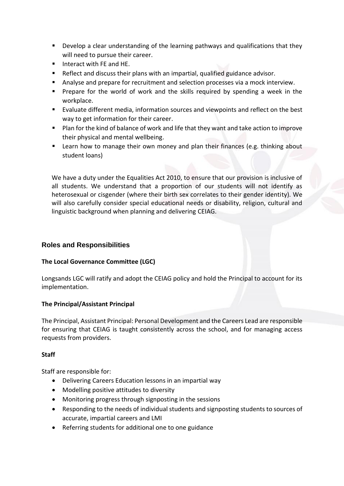- Develop a clear understanding of the learning pathways and qualifications that they will need to pursue their career.
- Interact with FE and HE.
- Reflect and discuss their plans with an impartial, qualified guidance advisor.
- Analyse and prepare for recruitment and selection processes via a mock interview.
- Prepare for the world of work and the skills required by spending a week in the workplace.
- Evaluate different media, information sources and viewpoints and reflect on the best way to get information for their career.
- Plan for the kind of balance of work and life that they want and take action to improve their physical and mental wellbeing.
- Learn how to manage their own money and plan their finances (e.g. thinking about student loans)

We have a duty under the Equalities Act 2010, to ensure that our provision is inclusive of all students. We understand that a proportion of our students will not identify as heterosexual or cisgender (where their birth sex correlates to their gender identity). We will also carefully consider special educational needs or disability, religion, cultural and linguistic background when planning and delivering CEIAG.

# <span id="page-5-0"></span>**Roles and Responsibilities**

#### **The Local Governance Committee (LGC)**

Longsands LGC will ratify and adopt the CEIAG policy and hold the Principal to account for its implementation.

#### **The Principal/Assistant Principal**

The Principal, Assistant Principal: Personal Development and the Careers Lead are responsible for ensuring that CEIAG is taught consistently across the school, and for managing access requests from providers.

#### **Staff**

Staff are responsible for:

- Delivering Careers Education lessons in an impartial way
- Modelling positive attitudes to diversity
- Monitoring progress through signposting in the sessions
- Responding to the needs of individual students and signposting students to sources of accurate, impartial careers and LMI
- Referring students for additional one to one guidance